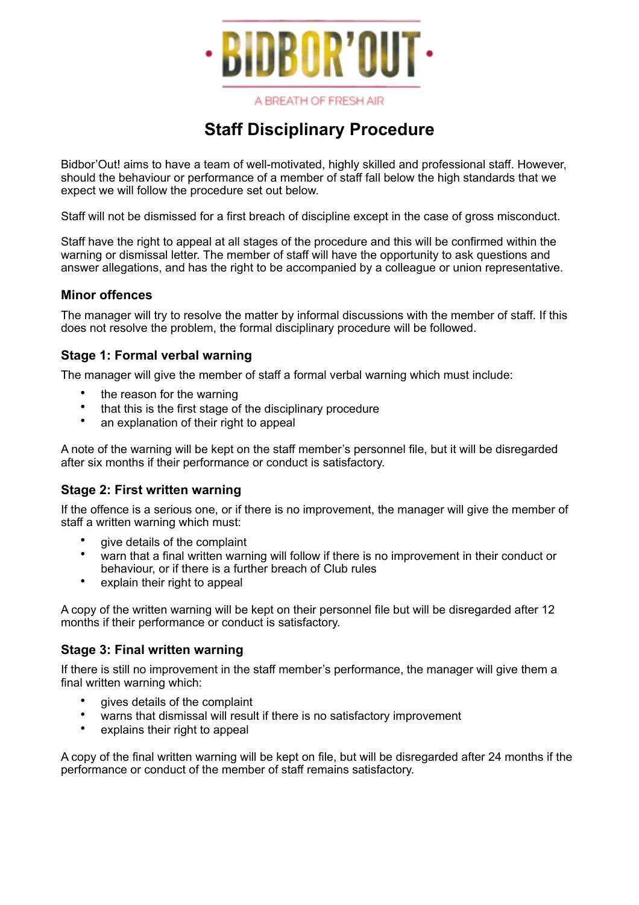

A BREATH OF FRESH AIR

# **Staff Disciplinary Procedure**

Bidbor'Out! aims to have a team of well-motivated, highly skilled and professional staff. However, should the behaviour or performance of a member of staff fall below the high standards that we expect we will follow the procedure set out below.

Staff will not be dismissed for a first breach of discipline except in the case of gross misconduct.

Staff have the right to appeal at all stages of the procedure and this will be confirmed within the warning or dismissal letter. The member of staff will have the opportunity to ask questions and answer allegations, and has the right to be accompanied by a colleague or union representative.

## **Minor offences**

The manager will try to resolve the matter by informal discussions with the member of staff. If this does not resolve the problem, the formal disciplinary procedure will be followed.

## **Stage 1: Formal verbal warning**

The manager will give the member of staff a formal verbal warning which must include:

- the reason for the warning
- that this is the first stage of the disciplinary procedure
- an explanation of their right to appeal

A note of the warning will be kept on the staff member's personnel file, but it will be disregarded after six months if their performance or conduct is satisfactory.

### **Stage 2: First written warning**

If the offence is a serious one, or if there is no improvement, the manager will give the member of staff a written warning which must:

- give details of the complaint
- warn that a final written warning will follow if there is no improvement in their conduct or behaviour, or if there is a further breach of Club rules
- explain their right to appeal

A copy of the written warning will be kept on their personnel file but will be disregarded after 12 months if their performance or conduct is satisfactory.

### **Stage 3: Final written warning**

If there is still no improvement in the staff member's performance, the manager will give them a final written warning which:

- gives details of the complaint
- warns that dismissal will result if there is no satisfactory improvement
- explains their right to appeal

A copy of the final written warning will be kept on file, but will be disregarded after 24 months if the performance or conduct of the member of staff remains satisfactory.